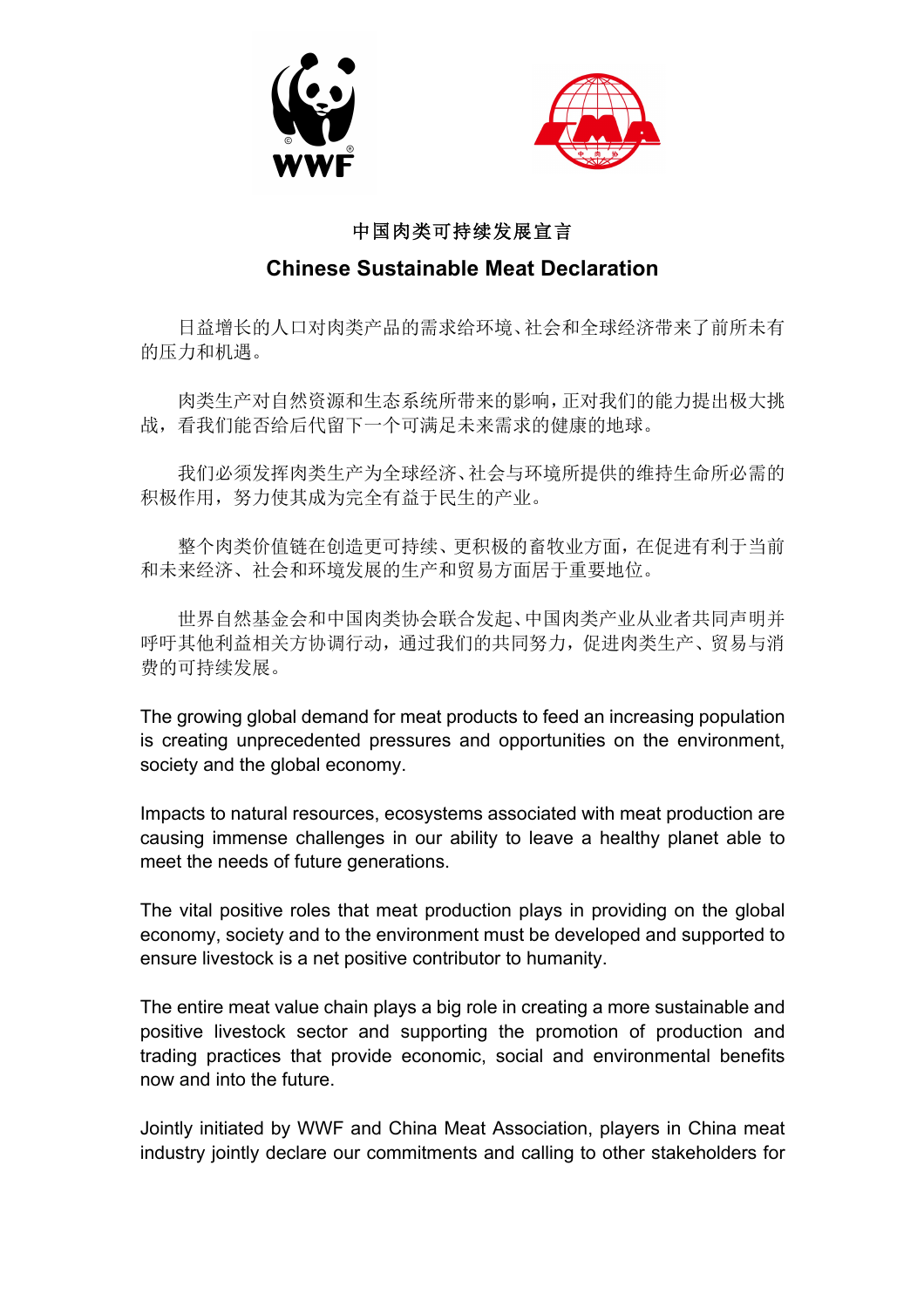



## 中国肉类可持续发展宣言

## **Chinese Sustainable Meat Declaration**

日益增长的人口对肉类产品的需求给环境、社会和全球经济带来了前所未有 的压力和机遇。

肉类生产对自然资源和生态系统所带来的影响,正对我们的能力提出极大挑 战,看我们能否给后代留下一个可满足未来需求的健康的地球。

我们必须发挥肉类生产为全球经济、社会与环境所提供的维持生命所必需的 积极作用,努力使其成为完全有益于民生的产业。

整个肉类价值链在创造更可持续、更积极的畜牧业方面,在促进有利于当前 和未来经济、社会和环境发展的生产和贸易方面居于重要地位。

世界自然基金会和中国肉类协会联合发起、中国肉类产业从业者共同声明并 呼吁其他利益相关方协调行动,通过我们的共同努力,促进肉类生产、贸易与消 费的可持续发展。

The growing global demand for meat products to feed an increasing population is creating unprecedented pressures and opportunities on the environment, society and the global economy.

Impacts to natural resources, ecosystems associated with meat production are causing immense challenges in our ability to leave a healthy planet able to meet the needs of future generations.

The vital positive roles that meat production plays in providing on the global economy, society and to the environment must be developed and supported to ensure livestock is a net positive contributor to humanity.

The entire meat value chain plays a big role in creating a more sustainable and positive livestock sector and supporting the promotion of production and trading practices that provide economic, social and environmental benefits now and into the future.

Jointly initiated by WWF and China Meat Association, players in China meat industry jointly declare our commitments and calling to other stakeholders for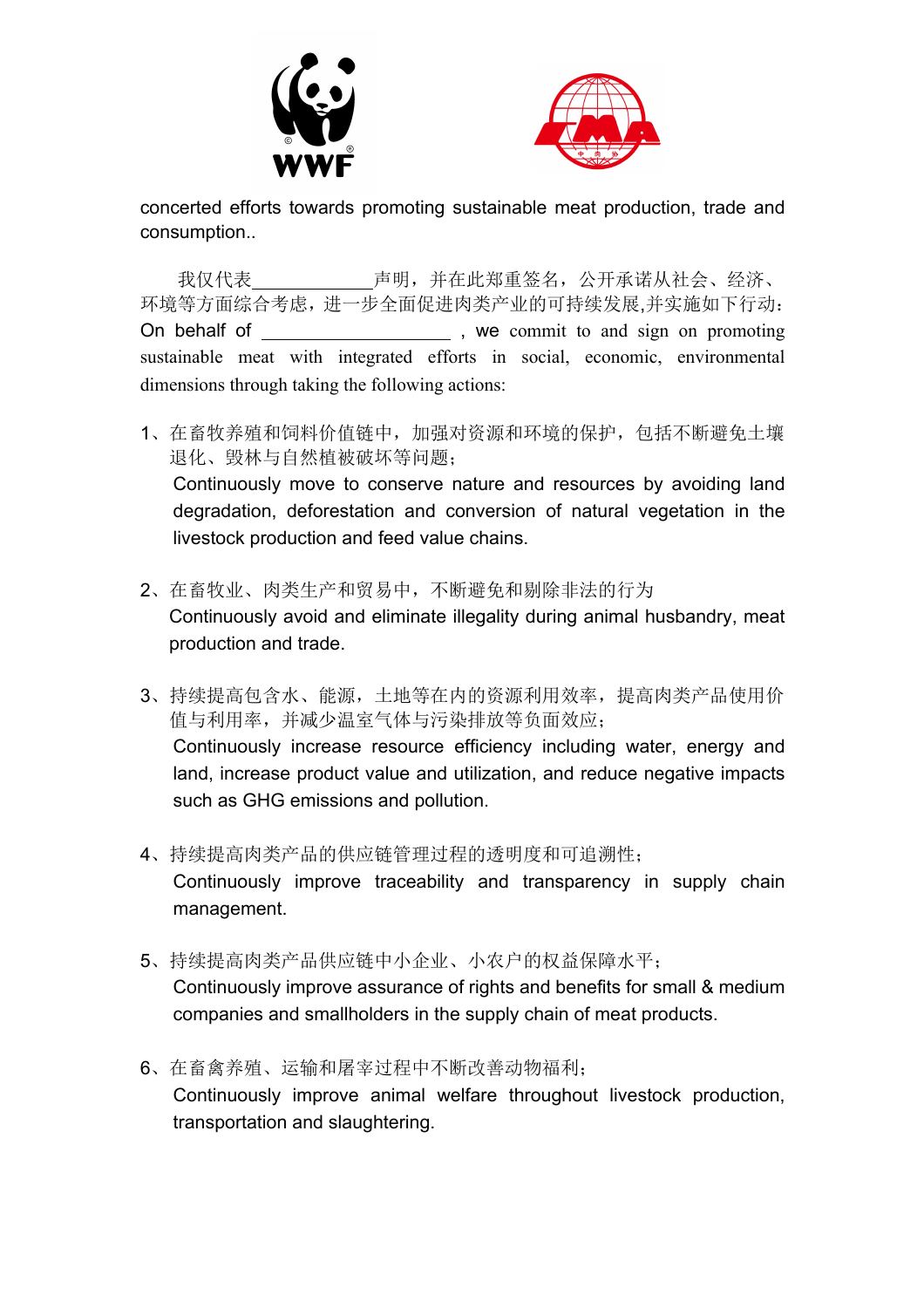



concerted efforts towards promoting sustainable meat production, trade and consumption..

我仅代表 声明,并在此郑重签名,公开承诺从社会、经济、 环境等方面综合考虑,进一步全面促进肉类产业的可持续发展,并实施如下行动: On behalf of , we commit to and sign on promoting sustainable meat with integrated efforts in social, economic, environmental dimensions through taking the following actions:

- 1、在畜牧养殖和饲料价值链中,加强对资源和环境的保护,包括不断避免土壤 退化、毁林与自然植被破坏等问题; Continuously move to conserve nature and resources by avoiding land degradation, deforestation and conversion of natural vegetation in the livestock production and feed value chains.
- 2、在畜牧业、肉类生产和贸易中,不断避免和剔除非法的行为 Continuously avoid and eliminate illegality during animal husbandry, meat production and trade.
- 3、持续提高包含水、能源,土地等在内的资源利用效率,提高肉类产品使用价 值与利用率,并减少温室气体与污染排放等负面效应; Continuously increase resource efficiency including water, energy and land, increase product value and utilization, and reduce negative impacts such as GHG emissions and pollution.
- 4、持续提高肉类产品的供应链管理过程的透明度和可追溯性; Continuously improve traceability and transparency in supply chain management.
- 5、持续提高肉类产品供应链中小企业、小农户的权益保障水平; Continuously improve assurance of rights and benefits for small & medium companies and smallholders in the supply chain of meat products.
- 6、在畜禽养殖、运输和屠宰过程中不断改善动物福利; Continuously improve animal welfare throughout livestock production, transportation and slaughtering.